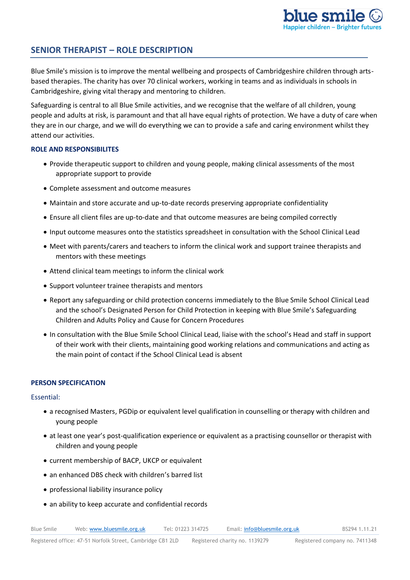# **SENIOR THERAPIST – ROLE DESCRIPTION**

Blue Smile's mission is to improve the mental wellbeing and prospects of Cambridgeshire children through artsbased therapies. The charity has over 70 clinical workers, working in teams and as individuals in schools in Cambridgeshire, giving vital therapy and mentoring to children.

Safeguarding is central to all Blue Smile activities, and we recognise that the welfare of all children, young people and adults at risk, is paramount and that all have equal rights of protection. We have a duty of care when they are in our charge, and we will do everything we can to provide a safe and caring environment whilst they attend our activities.

# **ROLE AND RESPONSIBILITES**

- Provide therapeutic support to children and young people, making clinical assessments of the most appropriate support to provide
- Complete assessment and outcome measures
- Maintain and store accurate and up-to-date records preserving appropriate confidentiality
- Ensure all client files are up-to-date and that outcome measures are being compiled correctly
- Input outcome measures onto the statistics spreadsheet in consultation with the School Clinical Lead
- Meet with parents/carers and teachers to inform the clinical work and support trainee therapists and mentors with these meetings
- Attend clinical team meetings to inform the clinical work
- Support volunteer trainee therapists and mentors
- Report any safeguarding or child protection concerns immediately to the Blue Smile School Clinical Lead and the school's Designated Person for Child Protection in keeping with Blue Smile's Safeguarding Children and Adults Policy and Cause for Concern Procedures
- In consultation with the Blue Smile School Clinical Lead, liaise with the school's Head and staff in support of their work with their clients, maintaining good working relations and communications and acting as the main point of contact if the School Clinical Lead is absent

## **PERSON SPECIFICATION**

Essential:

- a recognised Masters, PGDip or equivalent level qualification in counselling or therapy with children and young people
- at least one year's post-qualification experience or equivalent as a practising counsellor or therapist with children and young people
- current membership of BACP, UKCP or equivalent
- an enhanced DBS check with children's barred list
- professional liability insurance policy
- an ability to keep accurate and confidential records